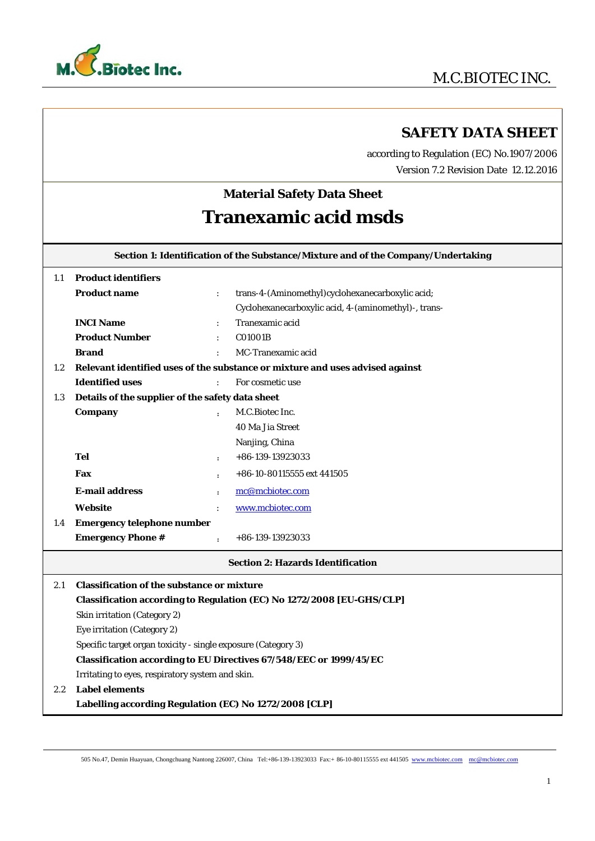

## **SAFETY DATA SHEET**

 according to Regulation (EC) No.1907/2006 Version 7.2 Revision Date 12.12.2016

# **Material Safety Data Sheet Tranexamic acid msds**

**Section 1: Identification of the Substance/Mixture and of the Company/Undertaking** 

| 1.1     | <b>Product identifiers</b>                                         |                      |                                                                               |
|---------|--------------------------------------------------------------------|----------------------|-------------------------------------------------------------------------------|
|         | <b>Product name</b>                                                | $\ddot{\cdot}$       | trans-4-(Aminomethyl)cyclohexanecarboxylic acid;                              |
|         |                                                                    |                      | Cyclohexanecarboxylic acid, 4-(aminomethyl)-, trans-                          |
|         | <b>INCI Name</b>                                                   |                      | Tranexamic acid                                                               |
|         | <b>Product Number</b>                                              | ÷                    | C01001B                                                                       |
|         | <b>Brand</b>                                                       |                      | MC-Tranexamic acid                                                            |
| $1.2\,$ |                                                                    |                      | Relevant identified uses of the substance or mixture and uses advised against |
|         | <b>Identified uses</b>                                             |                      | For cosmetic use                                                              |
| 1.3     | Details of the supplier of the safety data sheet                   |                      |                                                                               |
|         | Company                                                            |                      | M.C.Biotec Inc.                                                               |
|         |                                                                    |                      | 40 Ma Jia Street                                                              |
|         |                                                                    |                      | Nanjing, China                                                                |
|         | <b>Tel</b>                                                         | $\ddot{\phantom{a}}$ | +86-139-13923033                                                              |
|         | Fax                                                                | $\ddot{\phantom{a}}$ | +86-10-80115555 ext 441505                                                    |
|         | <b>E-mail address</b>                                              | $\mathbf{r}$         | mc@mcbiotec.com                                                               |
|         | Website                                                            |                      | www.mcbiotec.com                                                              |
| 1.4     | <b>Emergency telephone number</b>                                  |                      |                                                                               |
|         | <b>Emergency Phone #</b>                                           | $\mathbf{r}$         | $+86-139-13923033$                                                            |
|         |                                                                    |                      | <b>Section 2: Hazards Identification</b>                                      |
| 2.1     | <b>Classification of the substance or mixture</b>                  |                      |                                                                               |
|         |                                                                    |                      | Classification according to Regulation (EC) No 1272/2008 [EU-GHS/CLP]         |
|         | Skin irritation (Category 2)                                       |                      |                                                                               |
|         | Eye irritation (Category 2)                                        |                      |                                                                               |
|         | Specific target organ toxicity - single exposure (Category 3)      |                      |                                                                               |
|         | Classification according to EU Directives 67/548/EEC or 1999/45/EC |                      |                                                                               |
|         | Irritating to eyes, respiratory system and skin.                   |                      |                                                                               |
| 2.2.    | <b>Label elements</b>                                              |                      |                                                                               |
|         | Labelling according Regulation (EC) No 1272/2008 [CLP]             |                      |                                                                               |
|         |                                                                    |                      |                                                                               |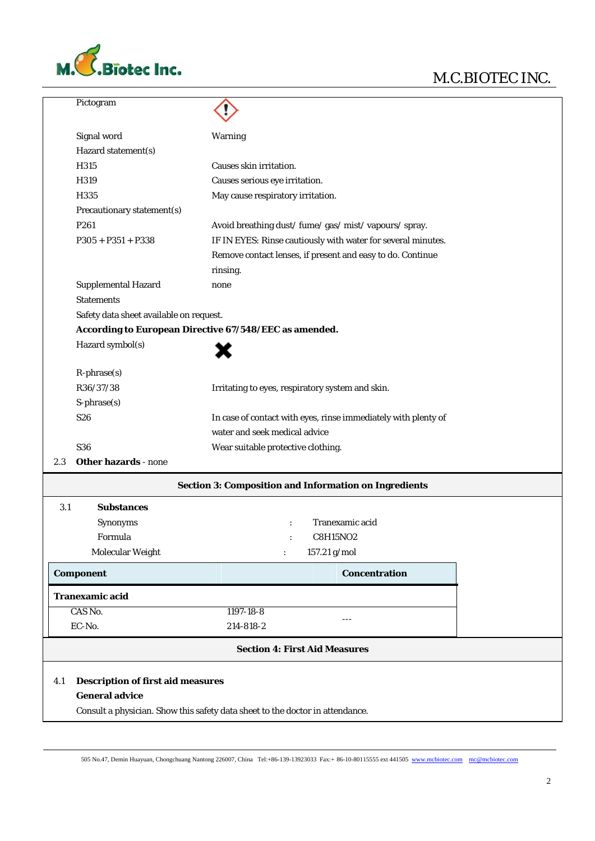

|                  | Pictogram                                                         |                                                                               |  |
|------------------|-------------------------------------------------------------------|-------------------------------------------------------------------------------|--|
|                  | Signal word                                                       | Warning                                                                       |  |
|                  | Hazard statement(s)                                               |                                                                               |  |
|                  | H315                                                              | Causes skin irritation.                                                       |  |
|                  | H319                                                              | Causes serious eye irritation.                                                |  |
|                  | H335                                                              | May cause respiratory irritation.                                             |  |
|                  | Precautionary statement(s)                                        |                                                                               |  |
|                  | P261                                                              | Avoid breathing dust/ fume/ gas/ mist/ vapours/ spray.                        |  |
|                  | $P305 + P351 + P338$                                              | IF IN EYES: Rinse cautiously with water for several minutes.                  |  |
|                  |                                                                   | Remove contact lenses, if present and easy to do. Continue                    |  |
|                  |                                                                   | rinsing.                                                                      |  |
|                  | <b>Supplemental Hazard</b>                                        | none                                                                          |  |
|                  | <b>Statements</b>                                                 |                                                                               |  |
|                  | Safety data sheet available on request.                           |                                                                               |  |
|                  |                                                                   | According to European Directive 67/548/EEC as amended.                        |  |
|                  | Hazard symbol(s)                                                  |                                                                               |  |
|                  | $R$ -phrase $(s)$                                                 |                                                                               |  |
|                  | R36/37/38                                                         | Irritating to eyes, respiratory system and skin.                              |  |
|                  | $S$ -phrase $(s)$                                                 |                                                                               |  |
|                  | S26                                                               | In case of contact with eyes, rinse immediately with plenty of                |  |
|                  |                                                                   | water and seek medical advice                                                 |  |
|                  | S36                                                               | Wear suitable protective clothing.                                            |  |
| 2.3              | <b>Other hazards - none</b>                                       |                                                                               |  |
|                  |                                                                   | <b>Section 3: Composition and Information on Ingredients</b>                  |  |
| 3.1              | <b>Substances</b>                                                 |                                                                               |  |
|                  | Synonyms                                                          | Tranexamic acid                                                               |  |
|                  | Formula                                                           | C8H15NO2                                                                      |  |
|                  | Molecular Weight                                                  | 157.21 g/mol<br>$\ddot{\cdot}$                                                |  |
| <b>Component</b> |                                                                   | <b>Concentration</b>                                                          |  |
|                  | <b>Tranexamic acid</b>                                            |                                                                               |  |
|                  | CAS No.                                                           | 1197-18-8<br>---                                                              |  |
|                  | EC-No.                                                            | 214-818-2                                                                     |  |
|                  |                                                                   | <b>Section 4: First Aid Measures</b>                                          |  |
| 4.1              | <b>Description of first aid measures</b><br><b>General advice</b> | Consult a physician. Show this safety data sheet to the doctor in attendance. |  |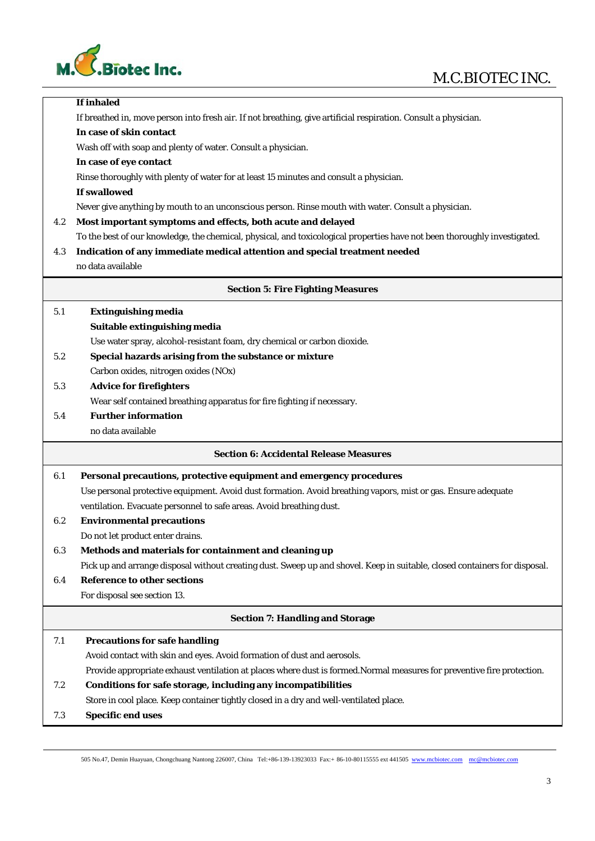

## M.C.BIOTEC INC.

|     | If inhaled                                                                                                                 |
|-----|----------------------------------------------------------------------------------------------------------------------------|
|     | If breathed in, move person into fresh air. If not breathing, give artificial respiration. Consult a physician.            |
|     | In case of skin contact                                                                                                    |
|     | Wash off with soap and plenty of water. Consult a physician.                                                               |
|     | In case of eye contact                                                                                                     |
|     | Rinse thoroughly with plenty of water for at least 15 minutes and consult a physician.                                     |
|     | If swallowed                                                                                                               |
|     | Never give anything by mouth to an unconscious person. Rinse mouth with water. Consult a physician.                        |
| 4.2 | Most important symptoms and effects, both acute and delayed                                                                |
|     | To the best of our knowledge, the chemical, physical, and toxicological properties have not been thoroughly investigated.  |
| 4.3 | Indication of any immediate medical attention and special treatment needed                                                 |
|     | no data available                                                                                                          |
|     | <b>Section 5: Fire Fighting Measures</b>                                                                                   |
| 5.1 | <b>Extinguishing media</b>                                                                                                 |
|     | Suitable extinguishing media                                                                                               |
|     | Use water spray, alcohol-resistant foam, dry chemical or carbon dioxide.                                                   |
| 5.2 | Special hazards arising from the substance or mixture                                                                      |
|     | Carbon oxides, nitrogen oxides (NOx)                                                                                       |
| 5.3 | <b>Advice for firefighters</b>                                                                                             |
|     | Wear self contained breathing apparatus for fire fighting if necessary.                                                    |
| 5.4 | <b>Further information</b>                                                                                                 |
|     | no data available                                                                                                          |
|     | <b>Section 6: Accidental Release Measures</b>                                                                              |
| 6.1 | Personal precautions, protective equipment and emergency procedures                                                        |
|     | Use personal protective equipment. Avoid dust formation. Avoid breathing vapors, mist or gas. Ensure adequate              |
|     | ventilation. Evacuate personnel to safe areas. Avoid breathing dust.                                                       |
| 6.2 | <b>Environmental precautions</b>                                                                                           |
|     | Do not let product enter drains.                                                                                           |
| 6.3 | Methods and materials for containment and cleaning up                                                                      |
|     | Pick up and arrange disposal without creating dust. Sweep up and shovel. Keep in suitable, closed containers for disposal. |
| 6.4 | <b>Reference to other sections</b>                                                                                         |
|     | For disposal see section 13.                                                                                               |
|     | <b>Section 7: Handling and Storage</b>                                                                                     |
| 7.1 | <b>Precautions for safe handling</b>                                                                                       |
|     | Avoid contact with skin and eyes. Avoid formation of dust and aerosols.                                                    |
|     | Provide appropriate exhaust ventilation at places where dust is formed.Normal measures for preventive fire protection.     |
| 7.2 | Conditions for safe storage, including any incompatibilities                                                               |
|     | Store in cool place. Keep container tightly closed in a dry and well-ventilated place.                                     |
| 7.3 | <b>Specific end uses</b>                                                                                                   |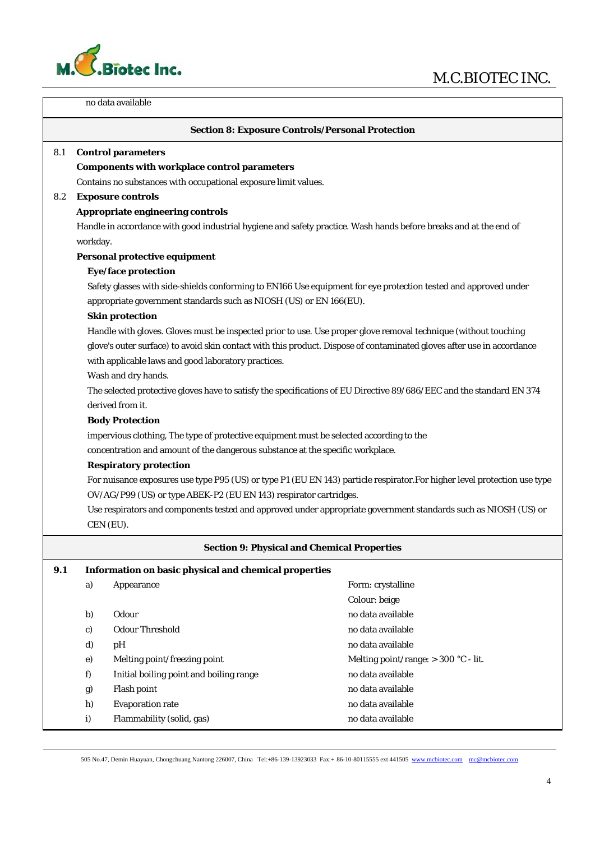



| no data available                                                                                                                                                                     |                                                                                                                           |                                                                                                                      |                                                                                                                        |  |  |  |  |
|---------------------------------------------------------------------------------------------------------------------------------------------------------------------------------------|---------------------------------------------------------------------------------------------------------------------------|----------------------------------------------------------------------------------------------------------------------|------------------------------------------------------------------------------------------------------------------------|--|--|--|--|
|                                                                                                                                                                                       |                                                                                                                           |                                                                                                                      | <b>Section 8: Exposure Controls/Personal Protection</b>                                                                |  |  |  |  |
| 8.1                                                                                                                                                                                   |                                                                                                                           | <b>Control parameters</b>                                                                                            |                                                                                                                        |  |  |  |  |
|                                                                                                                                                                                       |                                                                                                                           | <b>Components with workplace control parameters</b>                                                                  |                                                                                                                        |  |  |  |  |
|                                                                                                                                                                                       |                                                                                                                           | Contains no substances with occupational exposure limit values.                                                      |                                                                                                                        |  |  |  |  |
| 8.2                                                                                                                                                                                   | <b>Exposure controls</b>                                                                                                  |                                                                                                                      |                                                                                                                        |  |  |  |  |
|                                                                                                                                                                                       |                                                                                                                           | Appropriate engineering controls                                                                                     |                                                                                                                        |  |  |  |  |
|                                                                                                                                                                                       |                                                                                                                           |                                                                                                                      | Handle in accordance with good industrial hygiene and safety practice. Wash hands before breaks and at the end of      |  |  |  |  |
|                                                                                                                                                                                       | workday.<br>Personal protective equipment                                                                                 |                                                                                                                      |                                                                                                                        |  |  |  |  |
|                                                                                                                                                                                       |                                                                                                                           |                                                                                                                      |                                                                                                                        |  |  |  |  |
|                                                                                                                                                                                       |                                                                                                                           | Eye/face protection                                                                                                  |                                                                                                                        |  |  |  |  |
| Safety glasses with side-shields conforming to EN166 Use equipment for eye protection tested and approved under<br>appropriate government standards such as NIOSH (US) or EN 166(EU). |                                                                                                                           |                                                                                                                      |                                                                                                                        |  |  |  |  |
|                                                                                                                                                                                       |                                                                                                                           | <b>Skin protection</b>                                                                                               |                                                                                                                        |  |  |  |  |
|                                                                                                                                                                                       |                                                                                                                           |                                                                                                                      | Handle with gloves. Gloves must be inspected prior to use. Use proper glove removal technique (without touching        |  |  |  |  |
|                                                                                                                                                                                       |                                                                                                                           |                                                                                                                      | glove's outer surface) to avoid skin contact with this product. Dispose of contaminated gloves after use in accordance |  |  |  |  |
|                                                                                                                                                                                       |                                                                                                                           | with applicable laws and good laboratory practices.                                                                  |                                                                                                                        |  |  |  |  |
|                                                                                                                                                                                       |                                                                                                                           | Wash and dry hands.                                                                                                  |                                                                                                                        |  |  |  |  |
|                                                                                                                                                                                       |                                                                                                                           | The selected protective gloves have to satisfy the specifications of EU Directive 89/686/EEC and the standard EN 374 |                                                                                                                        |  |  |  |  |
|                                                                                                                                                                                       | derived from it.                                                                                                          |                                                                                                                      |                                                                                                                        |  |  |  |  |
|                                                                                                                                                                                       | <b>Body Protection</b>                                                                                                    |                                                                                                                      |                                                                                                                        |  |  |  |  |
|                                                                                                                                                                                       | impervious clothing, The type of protective equipment must be selected according to the                                   |                                                                                                                      |                                                                                                                        |  |  |  |  |
|                                                                                                                                                                                       | concentration and amount of the dangerous substance at the specific workplace.                                            |                                                                                                                      |                                                                                                                        |  |  |  |  |
|                                                                                                                                                                                       | <b>Respiratory protection</b>                                                                                             |                                                                                                                      |                                                                                                                        |  |  |  |  |
|                                                                                                                                                                                       | For nuisance exposures use type P95 (US) or type P1 (EU EN 143) particle respirator. For higher level protection use type |                                                                                                                      |                                                                                                                        |  |  |  |  |
|                                                                                                                                                                                       | OV/AG/P99 (US) or type ABEK-P2 (EU EN 143) respirator cartridges.                                                         |                                                                                                                      |                                                                                                                        |  |  |  |  |
| Use respirators and components tested and approved under appropriate government standards such as NIOSH (US) or<br>CEN (EU).                                                          |                                                                                                                           |                                                                                                                      |                                                                                                                        |  |  |  |  |
|                                                                                                                                                                                       |                                                                                                                           |                                                                                                                      |                                                                                                                        |  |  |  |  |
|                                                                                                                                                                                       |                                                                                                                           |                                                                                                                      | <b>Section 9: Physical and Chemical Properties</b>                                                                     |  |  |  |  |
| 9.1                                                                                                                                                                                   |                                                                                                                           | Information on basic physical and chemical properties                                                                |                                                                                                                        |  |  |  |  |
|                                                                                                                                                                                       | a)                                                                                                                        | Appearance                                                                                                           | Form: crystalline                                                                                                      |  |  |  |  |
|                                                                                                                                                                                       |                                                                                                                           |                                                                                                                      | Colour: beige                                                                                                          |  |  |  |  |
|                                                                                                                                                                                       | b)                                                                                                                        | Odour                                                                                                                | no data available                                                                                                      |  |  |  |  |
|                                                                                                                                                                                       | c)                                                                                                                        | <b>Odour Threshold</b>                                                                                               | no data available                                                                                                      |  |  |  |  |
|                                                                                                                                                                                       | d)                                                                                                                        | pH                                                                                                                   | no data available                                                                                                      |  |  |  |  |
|                                                                                                                                                                                       | e)                                                                                                                        | Melting point/freezing point                                                                                         | Melting point/range: $> 300$ °C - lit.                                                                                 |  |  |  |  |
|                                                                                                                                                                                       | f)                                                                                                                        | Initial boiling point and boiling range                                                                              | no data available                                                                                                      |  |  |  |  |
|                                                                                                                                                                                       | g)                                                                                                                        | Flash point                                                                                                          | no data available                                                                                                      |  |  |  |  |
|                                                                                                                                                                                       | h)                                                                                                                        | <b>Evaporation rate</b>                                                                                              | no data available                                                                                                      |  |  |  |  |
|                                                                                                                                                                                       | $\mathbf{i}$                                                                                                              | Flammability (solid, gas)                                                                                            | no data available                                                                                                      |  |  |  |  |

505 No.47, Demin Huayuan, Chongchuang Nantong 226007, China Tel:+86-139-13923033 Fax:+ 86-10-80115555 ext 441505 www.mcbiotec.com mc@mcbiotec.com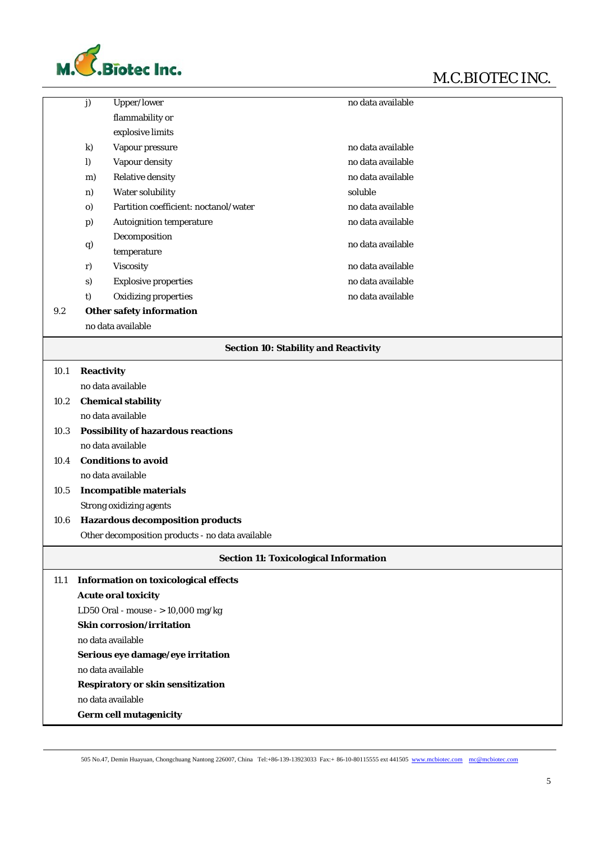



|      | $\overline{\mathbf{j}}$                          | <b>Upper/lower</b>                          | no data available                            |  |  |
|------|--------------------------------------------------|---------------------------------------------|----------------------------------------------|--|--|
|      |                                                  | flammability or                             |                                              |  |  |
|      |                                                  | explosive limits                            |                                              |  |  |
|      | $\bf k)$                                         | Vapour pressure                             | no data available                            |  |  |
|      | $\bf{l}$                                         | Vapour density                              | no data available                            |  |  |
|      | m)                                               | <b>Relative density</b>                     | no data available                            |  |  |
|      | n)                                               | Water solubility                            | soluble                                      |  |  |
|      | $\mathbf{0}$                                     | Partition coefficient: noctanol/water       | no data available                            |  |  |
|      | p)                                               | <b>Autoignition temperature</b>             | no data available                            |  |  |
|      |                                                  | Decomposition                               |                                              |  |  |
|      | q                                                | temperature                                 | no data available                            |  |  |
|      | r)                                               | Viscosity                                   | no data available                            |  |  |
|      | s)                                               | <b>Explosive properties</b>                 | no data available                            |  |  |
|      | t)                                               | <b>Oxidizing properties</b>                 | no data available                            |  |  |
| 9.2  |                                                  | <b>Other safety information</b>             |                                              |  |  |
|      |                                                  | no data available                           |                                              |  |  |
|      |                                                  |                                             |                                              |  |  |
|      |                                                  |                                             | <b>Section 10: Stability and Reactivity</b>  |  |  |
| 10.1 | <b>Reactivity</b>                                |                                             |                                              |  |  |
|      |                                                  | no data available                           |                                              |  |  |
| 10.2 | <b>Chemical stability</b>                        |                                             |                                              |  |  |
|      | no data available                                |                                             |                                              |  |  |
| 10.3 | <b>Possibility of hazardous reactions</b>        |                                             |                                              |  |  |
|      | no data available                                |                                             |                                              |  |  |
| 10.4 | <b>Conditions to avoid</b>                       |                                             |                                              |  |  |
|      | no data available                                |                                             |                                              |  |  |
| 10.5 | <b>Incompatible materials</b>                    |                                             |                                              |  |  |
|      | <b>Strong oxidizing agents</b>                   |                                             |                                              |  |  |
| 10.6 | <b>Hazardous decomposition products</b>          |                                             |                                              |  |  |
|      | Other decomposition products - no data available |                                             |                                              |  |  |
|      |                                                  |                                             | <b>Section 11: Toxicological Information</b> |  |  |
| 11.1 |                                                  | <b>Information on toxicological effects</b> |                                              |  |  |
|      |                                                  | <b>Acute oral toxicity</b>                  |                                              |  |  |
|      | LD50 Oral - mouse - > 10,000 mg/kg               |                                             |                                              |  |  |
|      | <b>Skin corrosion/irritation</b>                 |                                             |                                              |  |  |
|      | no data available                                |                                             |                                              |  |  |
|      |                                                  | Serious eye damage/eye irritation           |                                              |  |  |
|      |                                                  | no data available                           |                                              |  |  |
|      |                                                  | <b>Respiratory or skin sensitization</b>    |                                              |  |  |
|      | no data available                                |                                             |                                              |  |  |
|      | <b>Germ cell mutagenicity</b>                    |                                             |                                              |  |  |
|      |                                                  |                                             |                                              |  |  |

505 No.47, Demin Huayuan, Chongchuang Nantong 226007, China Tel:+86-139-13923033 Fax:+ 86-10-80115555 ext 441505 www.mcbiotec.com mc@mcbiotec.com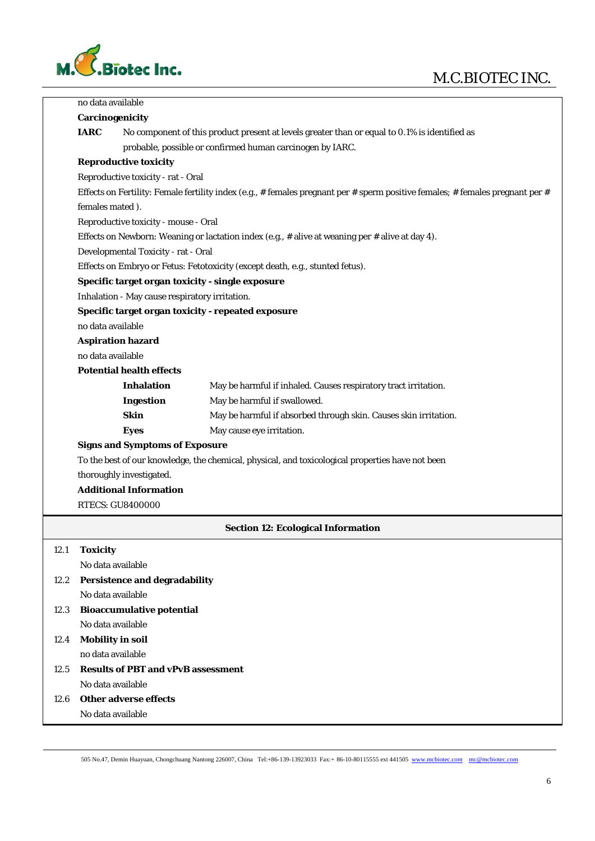## M.C.BIOTEC INC.



|      | no data available                                                                                                             |                                                |                                                                               |  |  |
|------|-------------------------------------------------------------------------------------------------------------------------------|------------------------------------------------|-------------------------------------------------------------------------------|--|--|
|      | <b>Carcinogenicity</b>                                                                                                        |                                                |                                                                               |  |  |
|      | <b>IARC</b><br>No component of this product present at levels greater than or equal to 0.1% is identified as                  |                                                |                                                                               |  |  |
|      | probable, possible or confirmed human carcinogen by IARC.                                                                     |                                                |                                                                               |  |  |
|      | <b>Reproductive toxicity</b>                                                                                                  |                                                |                                                                               |  |  |
|      |                                                                                                                               | Reproductive toxicity - rat - Oral             |                                                                               |  |  |
|      | Effects on Fertility: Female fertility index (e.g., # females pregnant per # sperm positive females; # females pregnant per # |                                                |                                                                               |  |  |
|      | females mated).                                                                                                               |                                                |                                                                               |  |  |
|      | Reproductive toxicity - mouse - Oral                                                                                          |                                                |                                                                               |  |  |
|      | Effects on Newborn: Weaning or lactation index (e.g., $#$ alive at weaning per $#$ alive at day 4).                           |                                                |                                                                               |  |  |
|      | Developmental Toxicity - rat - Oral                                                                                           |                                                |                                                                               |  |  |
|      |                                                                                                                               |                                                | Effects on Embryo or Fetus: Fetotoxicity (except death, e.g., stunted fetus). |  |  |
|      |                                                                                                                               |                                                | Specific target organ toxicity - single exposure                              |  |  |
|      |                                                                                                                               | Inhalation - May cause respiratory irritation. |                                                                               |  |  |
|      |                                                                                                                               |                                                | Specific target organ toxicity - repeated exposure                            |  |  |
|      | no data available                                                                                                             |                                                |                                                                               |  |  |
|      |                                                                                                                               | <b>Aspiration hazard</b>                       |                                                                               |  |  |
|      | no data available                                                                                                             |                                                |                                                                               |  |  |
|      |                                                                                                                               | <b>Potential health effects</b>                |                                                                               |  |  |
|      |                                                                                                                               | <b>Inhalation</b>                              | May be harmful if inhaled. Causes respiratory tract irritation.               |  |  |
|      |                                                                                                                               | <b>Ingestion</b>                               | May be harmful if swallowed.                                                  |  |  |
|      |                                                                                                                               | <b>Skin</b>                                    | May be harmful if absorbed through skin. Causes skin irritation.              |  |  |
|      |                                                                                                                               | <b>Eyes</b>                                    | May cause eye irritation.                                                     |  |  |
|      |                                                                                                                               | <b>Signs and Symptoms of Exposure</b>          |                                                                               |  |  |
|      | To the best of our knowledge, the chemical, physical, and toxicological properties have not been                              |                                                |                                                                               |  |  |
|      |                                                                                                                               | thoroughly investigated.                       |                                                                               |  |  |
|      |                                                                                                                               | <b>Additional Information</b>                  |                                                                               |  |  |
|      |                                                                                                                               | <b>RTECS: GU8400000</b>                        |                                                                               |  |  |
|      |                                                                                                                               |                                                | <b>Section 12: Ecological Information</b>                                     |  |  |
| 12.1 | <b>Toxicity</b>                                                                                                               |                                                |                                                                               |  |  |
|      | No data available                                                                                                             |                                                |                                                                               |  |  |
| 12.2 | <b>Persistence and degradability</b>                                                                                          |                                                |                                                                               |  |  |
|      | No data available                                                                                                             |                                                |                                                                               |  |  |
| 12.3 |                                                                                                                               | <b>Bioaccumulative potential</b>               |                                                                               |  |  |
|      | No data available                                                                                                             |                                                |                                                                               |  |  |
| 12.4 | <b>Mobility in soil</b>                                                                                                       |                                                |                                                                               |  |  |
|      | no data available                                                                                                             |                                                |                                                                               |  |  |
| 12.5 |                                                                                                                               | <b>Results of PBT and vPvB assessment</b>      |                                                                               |  |  |
|      | No data available                                                                                                             |                                                |                                                                               |  |  |
| 12.6 |                                                                                                                               | <b>Other adverse effects</b>                   |                                                                               |  |  |
|      | No data available                                                                                                             |                                                |                                                                               |  |  |